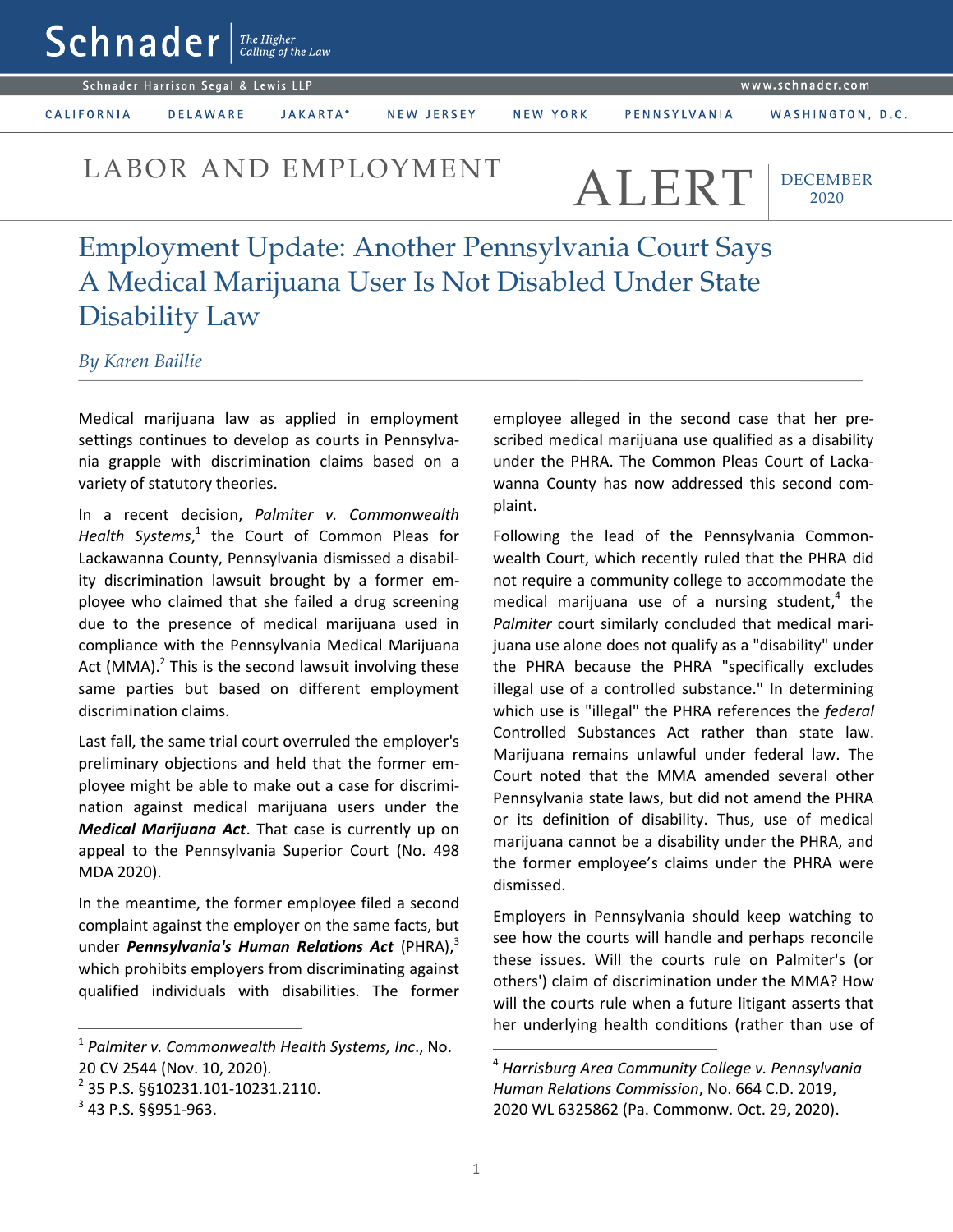www.schnader.com

Schnader Harrison Segal & Lewis LLP

 $\mathsf{Sch}$ nader  $\vert$ <sup>The Higher</sup>

CALIFORNIA

**DELAWARE** JAKARTA\* NEW JERSEY

NEW YORK

PENNSYLVANIA

WASHINGTON, D.C.

LABOR AND EMPLOYMENT ALERT

DECEMBER 2020

Employment Update: Another Pennsylvania Court Says A Medical Marijuana User Is Not Disabled Under State Disability Law

*By Karen Baillie*

Medical marijuana law as applied in employment settings continues to develop as courts in Pennsylvania grapple with discrimination claims based on a variety of statutory theories.

In a recent decision, *Palmiter v. Commonwealth*  Health Systems,<sup>1</sup> the Court of Common Pleas for Lackawanna County, Pennsylvania dismissed a disability discrimination lawsuit brought by a former employee who claimed that she failed a drug screening due to the presence of medical marijuana used in compliance with the Pennsylvania Medical Marijuana Act (MMA).<sup>2</sup> This is the second lawsuit involving these same parties but based on different employment discrimination claims.

Last fall, the same trial court overruled the employer's preliminary objections and held that the former employee might be able to make out a case for discrimination against medical marijuana users under the *Medical Marijuana Act*. That case is currently up on appeal to the Pennsylvania Superior Court (No. 498 MDA 2020).

In the meantime, the former employee filed a second complaint against the employer on the same facts, but under *Pennsylvania's Human Relations Act* (PHRA), 3 which prohibits employers from discriminating against qualified individuals with disabilities. The former

 $\overline{a}$ 

employee alleged in the second case that her prescribed medical marijuana use qualified as a disability under the PHRA. The Common Pleas Court of Lackawanna County has now addressed this second complaint.

Following the lead of the Pennsylvania Commonwealth Court, which recently ruled that the PHRA did not require a community college to accommodate the medical marijuana use of a nursing student,<sup>4</sup> the *Palmiter* court similarly concluded that medical marijuana use alone does not qualify as a "disability" under the PHRA because the PHRA "specifically excludes illegal use of a controlled substance." In determining which use is "illegal" the PHRA references the *federal* Controlled Substances Act rather than state law. Marijuana remains unlawful under federal law. The Court noted that the MMA amended several other Pennsylvania state laws, but did not amend the PHRA or its definition of disability. Thus, use of medical marijuana cannot be a disability under the PHRA, and the former employee's claims under the PHRA were dismissed.

Employers in Pennsylvania should keep watching to see how the courts will handle and perhaps reconcile these issues. Will the courts rule on Palmiter's (or others') claim of discrimination under the MMA? How will the courts rule when a future litigant asserts that her underlying health conditions (rather than use of

 $\overline{a}$ 

<sup>1</sup> *Palmiter v. Commonwealth Health Systems, Inc*., No. 20 CV 2544 (Nov. 10, 2020).

<sup>&</sup>lt;sup>2</sup> 35 P.S. §§10231.101-10231.2110.

 $3$  43 P.S. §§951-963.

<sup>4</sup> *Harrisburg Area Community College v. Pennsylvania Human Relations Commission*, No. 664 C.D. 2019, 2020 WL 6325862 (Pa. Commonw. Oct. 29, 2020).